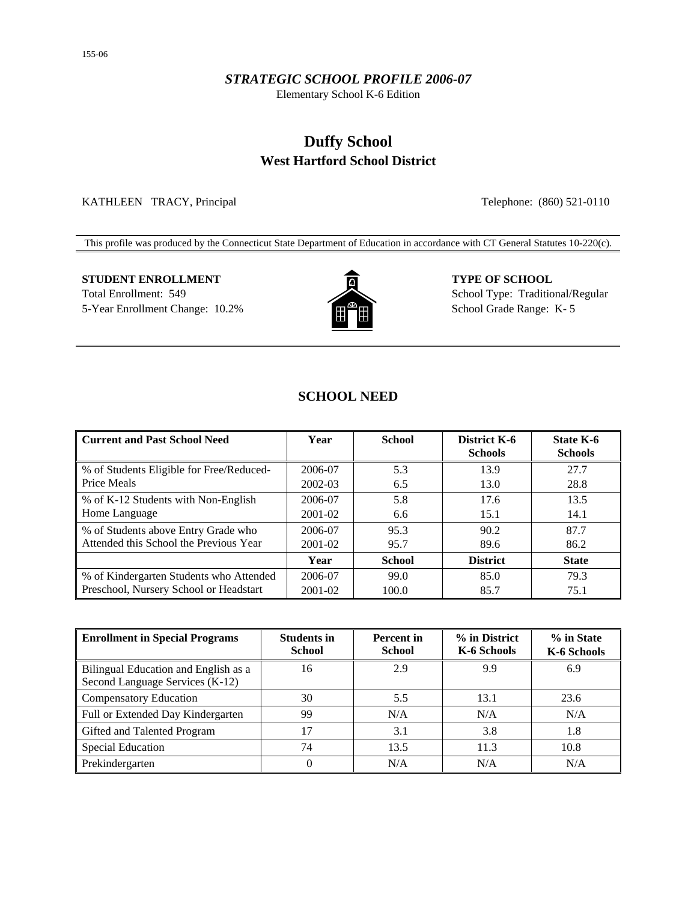#### *STRATEGIC SCHOOL PROFILE 2006-07*

Elementary School K-6 Edition

# **Duffy School West Hartford School District**

KATHLEEN TRACY, Principal Telephone: (860) 521-0110

This profile was produced by the Connecticut State Department of Education in accordance with CT General Statutes 10-220(c).

# **STUDENT ENROLLMENT TYPE OF SCHOOL** Total Enrollment: 549 School Type: Traditional/Regular



5-Year Enrollment Change: 10.2% **School Grade Range: K-5** School Grade Range: K-5

# **SCHOOL NEED**

| <b>Current and Past School Need</b>      | Year        | <b>School</b> | <b>District K-6</b><br><b>Schools</b> | State K-6<br><b>Schools</b> |
|------------------------------------------|-------------|---------------|---------------------------------------|-----------------------------|
| % of Students Eligible for Free/Reduced- | 2006-07     | 5.3           | 13.9                                  | 27.7                        |
| Price Meals                              | 2002-03     | 6.5           | 13.0                                  | 28.8                        |
| % of K-12 Students with Non-English      | 2006-07     | 5.8           | 17.6                                  | 13.5                        |
| Home Language                            | 2001-02     | 6.6           | 15.1                                  | 14.1                        |
| % of Students above Entry Grade who      | 2006-07     | 95.3          | 90.2                                  | 87.7                        |
| Attended this School the Previous Year   | 2001-02     | 95.7          | 89.6                                  | 86.2                        |
|                                          | Year        | <b>School</b> | <b>District</b>                       | <b>State</b>                |
| % of Kindergarten Students who Attended  | 2006-07     | 99.0          | 85.0                                  | 79.3                        |
| Preschool, Nursery School or Headstart   | $2001 - 02$ | 100.0         | 85.7                                  | 75.1                        |

| <b>Enrollment in Special Programs</b>                                   | <b>Students in</b><br><b>School</b> | <b>Percent</b> in<br><b>School</b> | % in District<br>K-6 Schools | % in State<br>K-6 Schools |
|-------------------------------------------------------------------------|-------------------------------------|------------------------------------|------------------------------|---------------------------|
| Bilingual Education and English as a<br>Second Language Services (K-12) | 16                                  | 2.9                                | 9.9                          | 6.9                       |
| <b>Compensatory Education</b>                                           | 30                                  | 5.5                                | 13.1                         | 23.6                      |
| Full or Extended Day Kindergarten                                       | 99                                  | N/A                                | N/A                          | N/A                       |
| Gifted and Talented Program                                             | 17                                  | 3.1                                | 3.8                          | 1.8                       |
| Special Education                                                       | 74                                  | 13.5                               | 11.3                         | 10.8                      |
| Prekindergarten                                                         | 0                                   | N/A                                | N/A                          | N/A                       |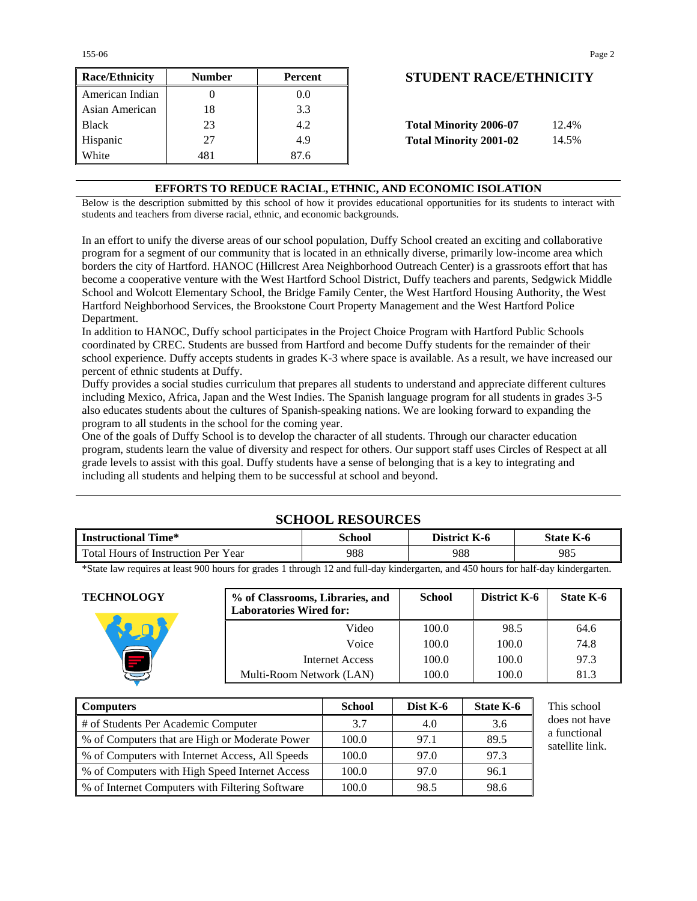155-06 Page 2

| <b>Race/Ethnicity</b> | <b>Number</b> | Percent          | <b>STUDENT RACE/ETHNICIT</b>           |
|-----------------------|---------------|------------------|----------------------------------------|
| American Indian       |               | 0.0 <sub>1</sub> |                                        |
| Asian American        | 18            | 3.3              |                                        |
| <b>Black</b>          | 23            | 4.2              | <b>Total Minority 2006-07</b><br>12.4% |
| Hispanic              | 27            | 4.9              | <b>Total Minority 2001-02</b><br>14.5% |
| White                 | 481           | 87.6             |                                        |

# **Race/Ethnicity Number Percent STUDENT RACE/ETHNICITY**

| <b>Total Minority 2006-07</b> | 12.4% |
|-------------------------------|-------|
| <b>Total Minority 2001-02</b> | 14.5% |

#### **EFFORTS TO REDUCE RACIAL, ETHNIC, AND ECONOMIC ISOLATION**

Below is the description submitted by this school of how it provides educational opportunities for its students to interact with students and teachers from diverse racial, ethnic, and economic backgrounds.

In an effort to unify the diverse areas of our school population, Duffy School created an exciting and collaborative program for a segment of our community that is located in an ethnically diverse, primarily low-income area which borders the city of Hartford. HANOC (Hillcrest Area Neighborhood Outreach Center) is a grassroots effort that has become a cooperative venture with the West Hartford School District, Duffy teachers and parents, Sedgwick Middle School and Wolcott Elementary School, the Bridge Family Center, the West Hartford Housing Authority, the West Hartford Neighborhood Services, the Brookstone Court Property Management and the West Hartford Police Department.

In addition to HANOC, Duffy school participates in the Project Choice Program with Hartford Public Schools coordinated by CREC. Students are bussed from Hartford and become Duffy students for the remainder of their school experience. Duffy accepts students in grades K-3 where space is available. As a result, we have increased our percent of ethnic students at Duffy.

Duffy provides a social studies curriculum that prepares all students to understand and appreciate different cultures including Mexico, Africa, Japan and the West Indies. The Spanish language program for all students in grades 3-5 also educates students about the cultures of Spanish-speaking nations. We are looking forward to expanding the program to all students in the school for the coming year.

One of the goals of Duffy School is to develop the character of all students. Through our character education program, students learn the value of diversity and respect for others. Our support staff uses Circles of Respect at all grade levels to assist with this goal. Duffy students have a sense of belonging that is a key to integrating and including all students and helping them to be successful at school and beyond.

# **SCHOOL RESOURCES**

| <b>Instructional Time*</b>                      | school | District<br>K-0 | $\mathbf{r}$<br><b>State K-6</b> |  |
|-------------------------------------------------|--------|-----------------|----------------------------------|--|
| Total L<br>Per Year<br>Hours of<br>-Instruction | 988    | 988             | 985                              |  |

\*State law requires at least 900 hours for grades 1 through 12 and full-day kindergarten, and 450 hours for half-day kindergarten.

**TECHNOLOGY % of Classrooms, Libraries, and Laboratories Wired for: School District K-6** | **State K-6** Video | 100.0 | 98.5 | 64.6 Voice 100.0 100.0 74.8 Internet Access 100.0 100.0 97.3 Multi-Room Network (LAN)  $\vert$  100.0 100.0 81.3

| <b>Computers</b>                                | <b>School</b> | Dist $K-6$ | State K-6 | This school                     |
|-------------------------------------------------|---------------|------------|-----------|---------------------------------|
| # of Students Per Academic Computer             | 3.7           | 4.0        | 3.6       | does not have                   |
| % of Computers that are High or Moderate Power  | 100.0         | 97.1       | 89.5      | a functional<br>satellite link. |
| % of Computers with Internet Access, All Speeds | 100.0         | 97.0       | 97.3      |                                 |
| % of Computers with High Speed Internet Access  | 100.0         | 97.0       | 96.1      |                                 |
| % of Internet Computers with Filtering Software | 100.0         | 98.5       | 98.6      |                                 |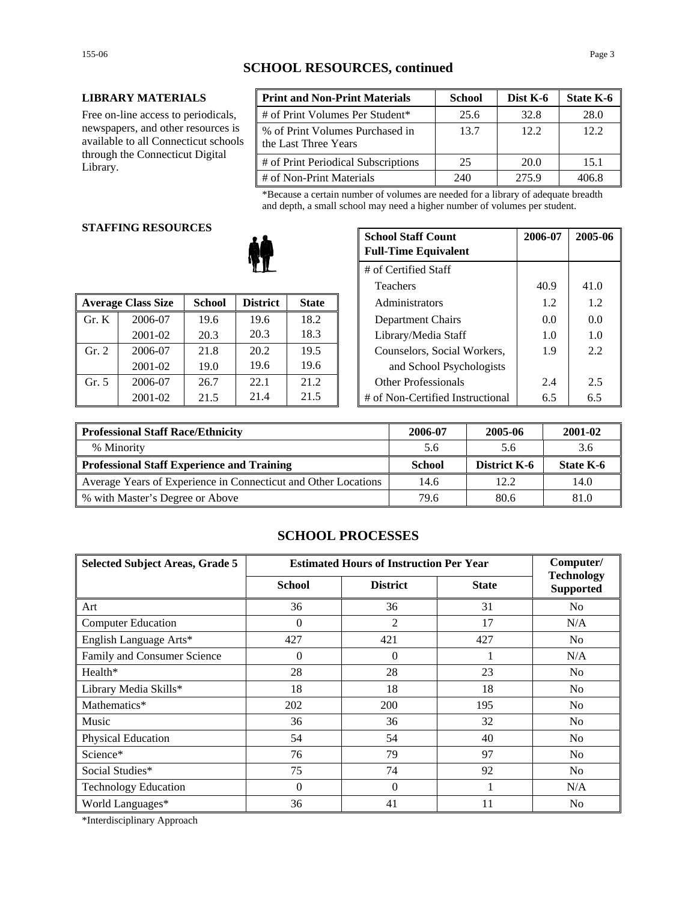## **SCHOOL RESOURCES, continued**

#### **LIBRARY MATERIALS**

Free on-line access to periodicals, newspapers, and other resources is available to all Connecticut schools through the Connecticut Digital Library.

| <b>Print and Non-Print Materials</b>                    | <b>School</b> | Dist K-6 | <b>State K-6</b> |
|---------------------------------------------------------|---------------|----------|------------------|
| # of Print Volumes Per Student*                         | 25.6          | 32.8     | 28.0             |
| % of Print Volumes Purchased in<br>the Last Three Years | 13.7          | 12.2     | 12.2.            |
| # of Print Periodical Subscriptions                     | 25            | 20.0     | 15.1             |
| # of Non-Print Materials                                | 240           | 275.9    | 406 R            |

\*Because a certain number of volumes are needed for a library of adequate breadth and depth, a small school may need a higher number of volumes per student.

#### **STAFFING RESOURCES**

|       |                           |               |                 |              | 1 <u>cach</u> olo                | $\sim$ | $\cdots$      |
|-------|---------------------------|---------------|-----------------|--------------|----------------------------------|--------|---------------|
|       | <b>Average Class Size</b> | <b>School</b> | <b>District</b> | <b>State</b> | Administrators                   | 1.2    | 1.2           |
| Gr. K | 2006-07                   | 19.6          | 19.6            | 18.2         | Department Chairs                | 0.0    | 0.0           |
|       | 2001-02                   | 20.3          | 20.3            | 18.3         | Library/Media Staff              | 1.0    | 1.0           |
| Gr. 2 | 2006-07                   | 21.8          | 20.2            | 19.5         | Counselors, Social Workers,      | 1.9    | 2.2           |
|       | 2001-02                   | 19.0          | 19.6            | 19.6         | and School Psychologists         |        |               |
| Gr. 5 | 2006-07                   | 26.7          | 22.1            | 21.2         | <b>Other Professionals</b>       | 2.4    | 2.5           |
|       | 2001-02                   | 21.5          | 21.4            | 21.5         | # of Non-Certified Instructional | 6.5    | $6.5^{\circ}$ |

| G RESOURCES |               | <b>School Staff Count</b><br><b>Full-Time Equivalent</b> | 2006-07              | 2005-06 |                                  |     |     |
|-------------|---------------|----------------------------------------------------------|----------------------|---------|----------------------------------|-----|-----|
|             |               |                                                          | # of Certified Staff |         |                                  |     |     |
| Teachers    |               |                                                          |                      | 40.9    | 41.0                             |     |     |
| 'lass Size  | <b>School</b> | <b>District</b>                                          | <b>State</b>         |         | Administrators                   | 1.2 | 1.2 |
| 2006-07     | 19.6          | 19.6                                                     | 18.2                 |         | Department Chairs                | 0.0 | 0.0 |
| 2001-02     | 20.3          | 20.3                                                     | 18.3                 |         | Library/Media Staff              | 1.0 | 1.0 |
| 2006-07     | 21.8          | 20.2                                                     | 19.5                 |         | Counselors, Social Workers,      | 1.9 | 2.2 |
| 2001-02     | 19.0          | 19.6                                                     | 19.6                 |         | and School Psychologists         |     |     |
| 2006-07     | 26.7          | 22.1                                                     | 21.2                 |         | <b>Other Professionals</b>       | 2.4 | 2.5 |
| 2001-02     | 21.5          | 21.4                                                     | 21.5                 |         | # of Non-Certified Instructional | 6.5 | 6.5 |

| Professional Staff Race/Ethnicity                              | 2006-07       | 2005-06             | 2001-02   |
|----------------------------------------------------------------|---------------|---------------------|-----------|
| % Minority                                                     | 5.6           | 5.6                 | 3.6       |
| Professional Staff Experience and Training                     | <b>School</b> | <b>District K-6</b> | State K-6 |
| Average Years of Experience in Connecticut and Other Locations | 14.6          | 12.2.               | 14.0      |
| ■ % with Master's Degree or Above                              | 79.6          | 80.6                | 81.0      |

### **SCHOOL PROCESSES**

| <b>Selected Subject Areas, Grade 5</b> | <b>Estimated Hours of Instruction Per Year</b> | Computer/       |              |                                       |
|----------------------------------------|------------------------------------------------|-----------------|--------------|---------------------------------------|
|                                        | <b>School</b>                                  | <b>District</b> | <b>State</b> | <b>Technology</b><br><b>Supported</b> |
| Art                                    | 36                                             | 36              | 31           | No                                    |
| <b>Computer Education</b>              | $\Omega$                                       | 2               | 17           | N/A                                   |
| English Language Arts*                 | 427                                            | 421             | 427          | N <sub>0</sub>                        |
| Family and Consumer Science            | $\theta$                                       | $\overline{0}$  |              | N/A                                   |
| Health*                                | 28                                             | 28              | 23           | No                                    |
| Library Media Skills*                  | 18                                             | 18              | 18           | N <sub>0</sub>                        |
| Mathematics*                           | 202                                            | 200             | 195          | No                                    |
| Music                                  | 36                                             | 36              | 32           | No                                    |
| Physical Education                     | 54                                             | 54              | 40           | No                                    |
| Science*                               | 76                                             | 79              | 97           | N <sub>0</sub>                        |
| Social Studies*                        | 75                                             | 74              | 92           | No                                    |
| <b>Technology Education</b>            | $\Omega$                                       | $\Omega$        |              | N/A                                   |
| World Languages*                       | 36                                             | 41              | 11           | N <sub>0</sub>                        |

\*Interdisciplinary Approach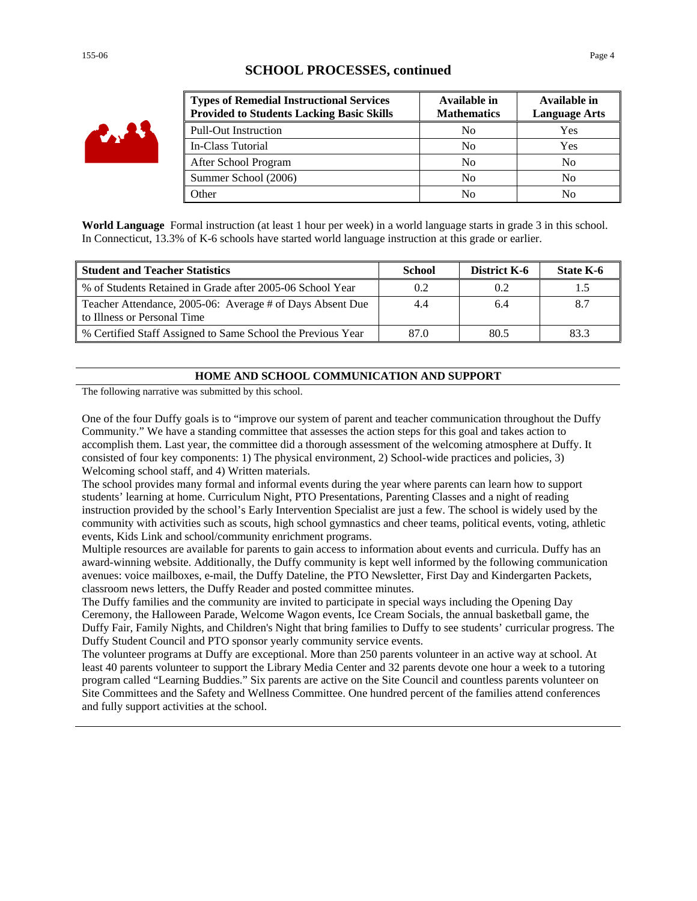| i av |
|------|
|------|

### **SCHOOL PROCESSES, continued**

| <b>Types of Remedial Instructional Services</b><br><b>Provided to Students Lacking Basic Skills</b> | Available in<br><b>Mathematics</b> | Available in<br><b>Language Arts</b> |
|-----------------------------------------------------------------------------------------------------|------------------------------------|--------------------------------------|
| <b>Pull-Out Instruction</b>                                                                         | No                                 | Yes                                  |
| In-Class Tutorial                                                                                   | N <sub>0</sub>                     | Yes                                  |
| After School Program                                                                                | No                                 | No                                   |
| Summer School (2006)                                                                                | No                                 | No                                   |
| <b>Other</b>                                                                                        | N <sub>0</sub>                     | No                                   |

**World Language** Formal instruction (at least 1 hour per week) in a world language starts in grade 3 in this school. In Connecticut, 13.3% of K-6 schools have started world language instruction at this grade or earlier.

| <b>Student and Teacher Statistics</b>                                                    | School | District K-6 | State K-6 |
|------------------------------------------------------------------------------------------|--------|--------------|-----------|
| % of Students Retained in Grade after 2005-06 School Year                                | 0.2    | 0.2          |           |
| Teacher Attendance, 2005-06: Average # of Days Absent Due<br>to Illness or Personal Time | 4.4    | 6.4          |           |
| % Certified Staff Assigned to Same School the Previous Year                              | 87.0   | 80.5         | 83.3      |

#### **HOME AND SCHOOL COMMUNICATION AND SUPPORT**

The following narrative was submitted by this school.

One of the four Duffy goals is to "improve our system of parent and teacher communication throughout the Duffy Community." We have a standing committee that assesses the action steps for this goal and takes action to accomplish them. Last year, the committee did a thorough assessment of the welcoming atmosphere at Duffy. It consisted of four key components: 1) The physical environment, 2) School-wide practices and policies, 3) Welcoming school staff, and 4) Written materials.

The school provides many formal and informal events during the year where parents can learn how to support students' learning at home. Curriculum Night, PTO Presentations, Parenting Classes and a night of reading instruction provided by the school's Early Intervention Specialist are just a few. The school is widely used by the community with activities such as scouts, high school gymnastics and cheer teams, political events, voting, athletic events, Kids Link and school/community enrichment programs.

Multiple resources are available for parents to gain access to information about events and curricula. Duffy has an award-winning website. Additionally, the Duffy community is kept well informed by the following communication avenues: voice mailboxes, e-mail, the Duffy Dateline, the PTO Newsletter, First Day and Kindergarten Packets, classroom news letters, the Duffy Reader and posted committee minutes.

The Duffy families and the community are invited to participate in special ways including the Opening Day Ceremony, the Halloween Parade, Welcome Wagon events, Ice Cream Socials, the annual basketball game, the Duffy Fair, Family Nights, and Children's Night that bring families to Duffy to see students' curricular progress. The Duffy Student Council and PTO sponsor yearly community service events.

The volunteer programs at Duffy are exceptional. More than 250 parents volunteer in an active way at school. At least 40 parents volunteer to support the Library Media Center and 32 parents devote one hour a week to a tutoring program called "Learning Buddies." Six parents are active on the Site Council and countless parents volunteer on Site Committees and the Safety and Wellness Committee. One hundred percent of the families attend conferences and fully support activities at the school.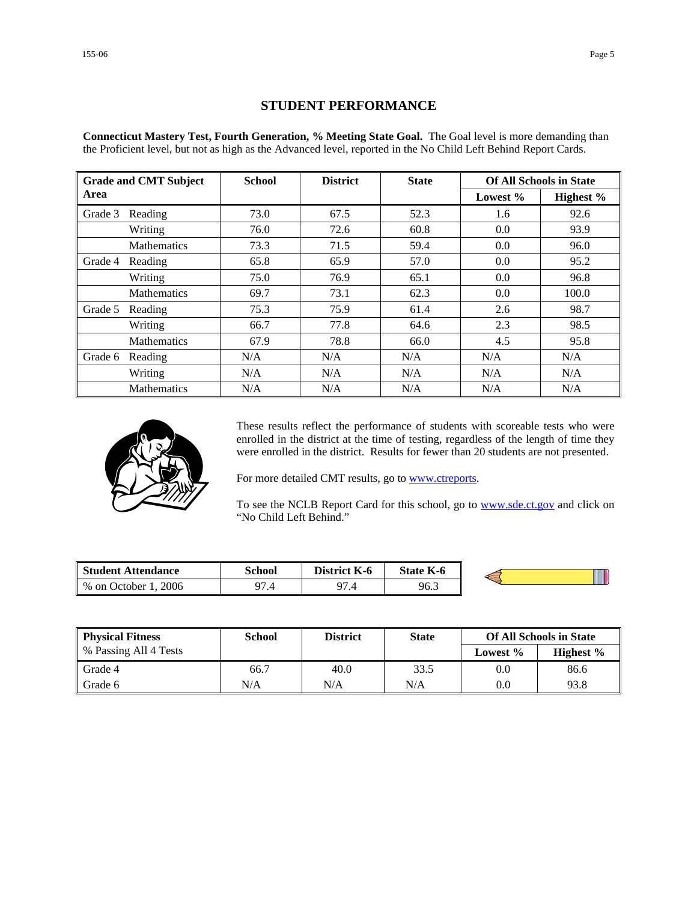### **STUDENT PERFORMANCE**

**Connecticut Mastery Test, Fourth Generation, % Meeting State Goal.** The Goal level is more demanding than the Proficient level, but not as high as the Advanced level, reported in the No Child Left Behind Report Cards.

|         | <b>School</b><br><b>District</b><br><b>State</b> |      | <b>Grade and CMT Subject</b> |      |          |           | <b>Of All Schools in State</b> |
|---------|--------------------------------------------------|------|------------------------------|------|----------|-----------|--------------------------------|
| Area    |                                                  |      |                              |      | Lowest % | Highest % |                                |
| Grade 3 | Reading                                          | 73.0 | 67.5                         | 52.3 | 1.6      | 92.6      |                                |
|         | Writing                                          | 76.0 | 72.6                         | 60.8 | 0.0      | 93.9      |                                |
|         | <b>Mathematics</b>                               | 73.3 | 71.5                         | 59.4 | 0.0      | 96.0      |                                |
| Grade 4 | Reading                                          | 65.8 | 65.9                         | 57.0 | 0.0      | 95.2      |                                |
|         | Writing                                          | 75.0 | 76.9                         | 65.1 | 0.0      | 96.8      |                                |
|         | <b>Mathematics</b>                               | 69.7 | 73.1                         | 62.3 | 0.0      | 100.0     |                                |
| Grade 5 | Reading                                          | 75.3 | 75.9                         | 61.4 | 2.6      | 98.7      |                                |
|         | Writing                                          | 66.7 | 77.8                         | 64.6 | 2.3      | 98.5      |                                |
|         | <b>Mathematics</b>                               | 67.9 | 78.8                         | 66.0 | 4.5      | 95.8      |                                |
| Grade 6 | Reading                                          | N/A  | N/A                          | N/A  | N/A      | N/A       |                                |
|         | Writing                                          | N/A  | N/A                          | N/A  | N/A      | N/A       |                                |
|         | <b>Mathematics</b>                               | N/A  | N/A                          | N/A  | N/A      | N/A       |                                |



These results reflect the performance of students with scoreable tests who were enrolled in the district at the time of testing, regardless of the length of time they were enrolled in the district. Results for fewer than 20 students are not presented.

For more detailed CMT results, go to **www.ctreports**.

To see the NCLB Report Card for this school, go to **[www.sde.ct.gov](http://www.sde.ct.gov/)** and click on "No Child Left Behind."

| <b>Student Attendance</b>            | School                 | <b>District</b><br>K-6 | <b>State K-6</b> |  |
|--------------------------------------|------------------------|------------------------|------------------|--|
| 2006<br>$%$ on $\sqrt{ }$<br>October | 07<br><del>ו</del> . ז | 07<br>۰.,              | 96.3             |  |

| <b>Physical Fitness</b> | School | <b>District</b> | <b>State</b> | <b>Of All Schools in State</b> |              |
|-------------------------|--------|-----------------|--------------|--------------------------------|--------------|
| % Passing All 4 Tests   |        |                 |              | Lowest $\%$                    | Highest $\%$ |
| Grade 4                 | 66.7   | 40.0            | 33.5         | 0.0                            | 86.6         |
| Grade 6                 | N/A    | N/A             | N/A          | 0.0                            | 93.8         |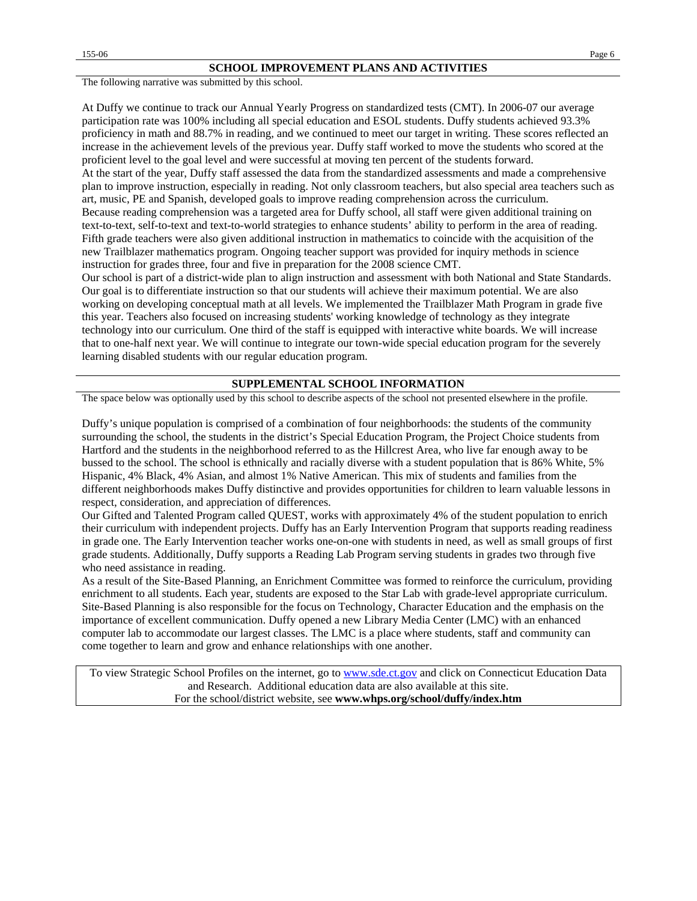The following narrative was submitted by this school.

At Duffy we continue to track our Annual Yearly Progress on standardized tests (CMT). In 2006-07 our average participation rate was 100% including all special education and ESOL students. Duffy students achieved 93.3% proficiency in math and 88.7% in reading, and we continued to meet our target in writing. These scores reflected an increase in the achievement levels of the previous year. Duffy staff worked to move the students who scored at the proficient level to the goal level and were successful at moving ten percent of the students forward. At the start of the year, Duffy staff assessed the data from the standardized assessments and made a comprehensive

plan to improve instruction, especially in reading. Not only classroom teachers, but also special area teachers such as art, music, PE and Spanish, developed goals to improve reading comprehension across the curriculum. Because reading comprehension was a targeted area for Duffy school, all staff were given additional training on

text-to-text, self-to-text and text-to-world strategies to enhance students' ability to perform in the area of reading. Fifth grade teachers were also given additional instruction in mathematics to coincide with the acquisition of the new Trailblazer mathematics program. Ongoing teacher support was provided for inquiry methods in science instruction for grades three, four and five in preparation for the 2008 science CMT.

Our school is part of a district-wide plan to align instruction and assessment with both National and State Standards. Our goal is to differentiate instruction so that our students will achieve their maximum potential. We are also working on developing conceptual math at all levels. We implemented the Trailblazer Math Program in grade five this year. Teachers also focused on increasing students' working knowledge of technology as they integrate technology into our curriculum. One third of the staff is equipped with interactive white boards. We will increase that to one-half next year. We will continue to integrate our town-wide special education program for the severely learning disabled students with our regular education program.

#### **SUPPLEMENTAL SCHOOL INFORMATION**

The space below was optionally used by this school to describe aspects of the school not presented elsewhere in the profile.

Duffy's unique population is comprised of a combination of four neighborhoods: the students of the community surrounding the school, the students in the district's Special Education Program, the Project Choice students from Hartford and the students in the neighborhood referred to as the Hillcrest Area, who live far enough away to be bussed to the school. The school is ethnically and racially diverse with a student population that is 86% White, 5% Hispanic, 4% Black, 4% Asian, and almost 1% Native American. This mix of students and families from the different neighborhoods makes Duffy distinctive and provides opportunities for children to learn valuable lessons in respect, consideration, and appreciation of differences.

Our Gifted and Talented Program called QUEST, works with approximately 4% of the student population to enrich their curriculum with independent projects. Duffy has an Early Intervention Program that supports reading readiness in grade one. The Early Intervention teacher works one-on-one with students in need, as well as small groups of first grade students. Additionally, Duffy supports a Reading Lab Program serving students in grades two through five who need assistance in reading.

As a result of the Site-Based Planning, an Enrichment Committee was formed to reinforce the curriculum, providing enrichment to all students. Each year, students are exposed to the Star Lab with grade-level appropriate curriculum. Site-Based Planning is also responsible for the focus on Technology, Character Education and the emphasis on the importance of excellent communication. Duffy opened a new Library Media Center (LMC) with an enhanced computer lab to accommodate our largest classes. The LMC is a place where students, staff and community can come together to learn and grow and enhance relationships with one another.

To view Strategic School Profiles on the internet, go to [www.sde.ct.gov](http://www.sde.ct.gov/) and click on Connecticut Education Data and Research. Additional education data are also available at this site. For the school/district website, see **www.whps.org/school/duffy/index.htm**